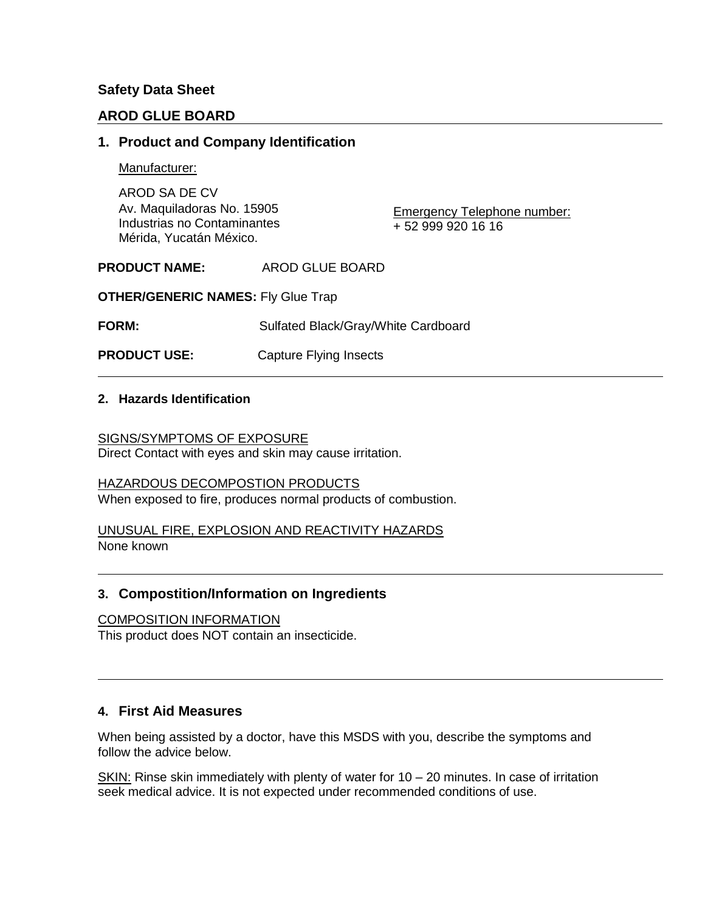# **Safety Data Sheet**

# **AROD GLUE BOARD**

# **1. Product and Company Identification**

Manufacturer:

AROD SA DE CV Av. Maquiladoras No. 15905 Industrias no Contaminantes Mérida, Yucatán México.

Emergency Telephone number: + 52 999 920 16 16

**PRODUCT NAME:** AROD GLUE BOARD

**OTHER/GENERIC NAMES:** Fly Glue Trap

**FORM:** Sulfated Black/Gray/White Cardboard

**PRODUCT USE:** Capture Flying Insects

### **2. Hazards Identification**

SIGNS/SYMPTOMS OF EXPOSURE Direct Contact with eyes and skin may cause irritation.

HAZARDOUS DECOMPOSTION PRODUCTS When exposed to fire, produces normal products of combustion.

UNUSUAL FIRE, EXPLOSION AND REACTIVITY HAZARDS None known

# **3. Compostition/Information on Ingredients**

#### COMPOSITION INFORMATION

This product does NOT contain an insecticide.

# **4. First Aid Measures**

When being assisted by a doctor, have this MSDS with you, describe the symptoms and follow the advice below.

SKIN: Rinse skin immediately with plenty of water for 10 – 20 minutes. In case of irritation seek medical advice. It is not expected under recommended conditions of use.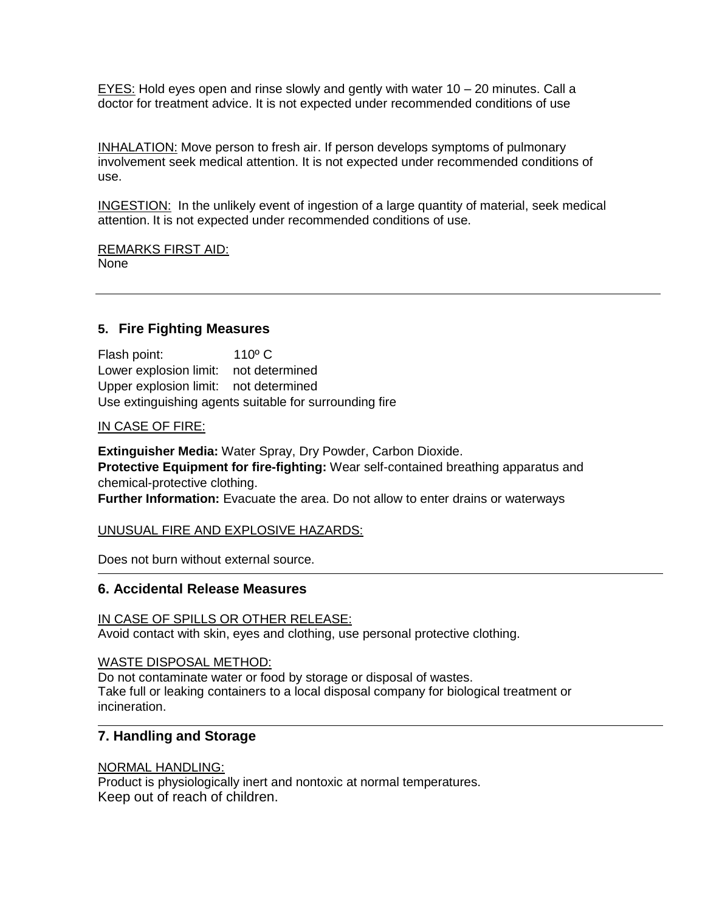$EYES:$  Hold eyes open and rinse slowly and gently with water 10 – 20 minutes. Call a doctor for treatment advice. It is not expected under recommended conditions of use

INHALATION: Move person to fresh air. If person develops symptoms of pulmonary involvement seek medical attention. It is not expected under recommended conditions of use.

INGESTION: In the unlikely event of ingestion of a large quantity of material, seek medical attention. It is not expected under recommended conditions of use.

REMARKS FIRST AID: None

# **5. Fire Fighting Measures**

Flash point: 110º C Lower explosion limit: not determined Upper explosion limit: not determined Use extinguishing agents suitable for surrounding fire

### IN CASE OF FIRE:

**Extinguisher Media:** Water Spray, Dry Powder, Carbon Dioxide. **Protective Equipment for fire-fighting:** Wear self-contained breathing apparatus and chemical-protective clothing. **Further Information:** Evacuate the area. Do not allow to enter drains or waterways

#### UNUSUAL FIRE AND EXPLOSIVE HAZARDS:

Does not burn without external source.

# **6. Accidental Release Measures**

# IN CASE OF SPILLS OR OTHER RELEASE:

Avoid contact with skin, eyes and clothing, use personal protective clothing.

#### WASTE DISPOSAL METHOD:

Do not contaminate water or food by storage or disposal of wastes. Take full or leaking containers to a local disposal company for biological treatment or incineration.

# **7. Handling and Storage**

# NORMAL HANDLING:

Product is physiologically inert and nontoxic at normal temperatures. Keep out of reach of children.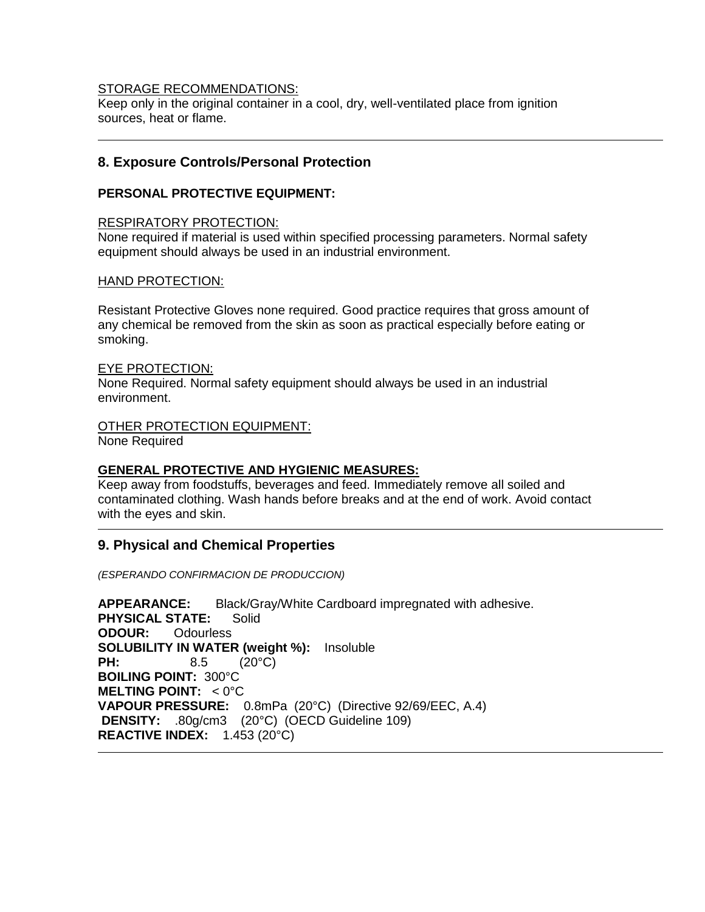#### STORAGE RECOMMENDATIONS:

Keep only in the original container in a cool, dry, well-ventilated place from ignition sources, heat or flame.

### **8. Exposure Controls/Personal Protection**

#### **PERSONAL PROTECTIVE EQUIPMENT:**

#### RESPIRATORY PROTECTION:

None required if material is used within specified processing parameters. Normal safety equipment should always be used in an industrial environment.

#### HAND PROTECTION:

Resistant Protective Gloves none required. Good practice requires that gross amount of any chemical be removed from the skin as soon as practical especially before eating or smoking.

#### EYE PROTECTION:

None Required. Normal safety equipment should always be used in an industrial environment.

# OTHER PROTECTION EQUIPMENT:

None Required

#### **GENERAL PROTECTIVE AND HYGIENIC MEASURES:**

Keep away from foodstuffs, beverages and feed. Immediately remove all soiled and contaminated clothing. Wash hands before breaks and at the end of work. Avoid contact with the eyes and skin.

# **9. Physical and Chemical Properties**

*(ESPERANDO CONFIRMACION DE PRODUCCION)*

**APPEARANCE:** Black/Gray/White Cardboard impregnated with adhesive. **PHYSICAL STATE:** Solid **ODOUR:** Odourless **SOLUBILITY IN WATER (weight %):** Insoluble **PH:** 8.5 (20°C) **BOILING POINT:** 300°C **MELTING POINT:** < 0°C **VAPOUR PRESSURE:** 0.8mPa (20°C) (Directive 92/69/EEC, A.4) **DENSITY:** .80g/cm3 (20°C) (OECD Guideline 109) **REACTIVE INDEX:** 1.453 (20°C)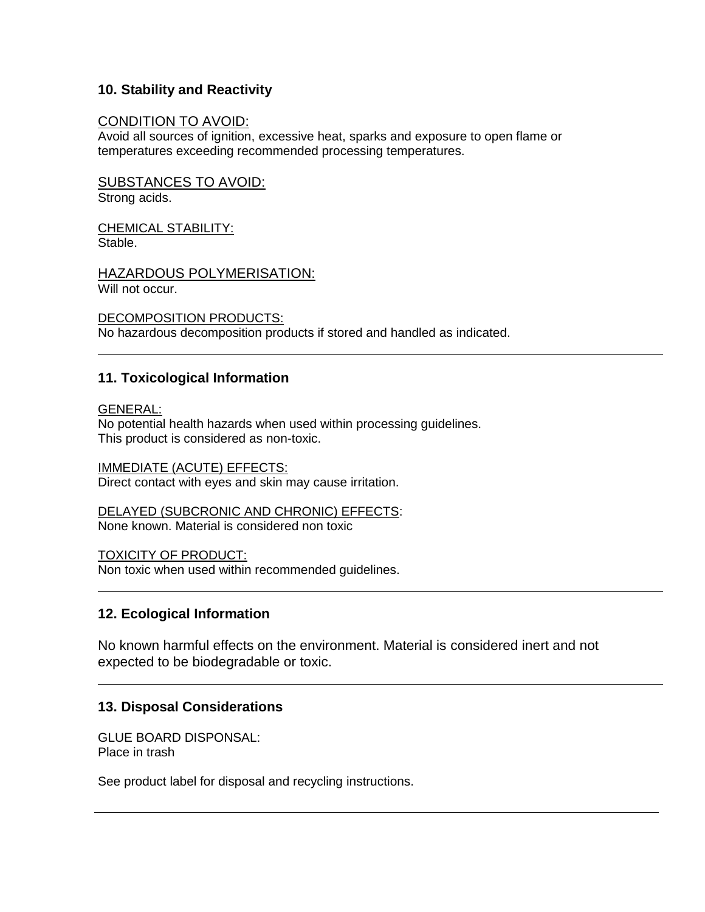# **10. Stability and Reactivity**

### CONDITION TO AVOID:

Avoid all sources of ignition, excessive heat, sparks and exposure to open flame or temperatures exceeding recommended processing temperatures.

SUBSTANCES TO AVOID: Strong acids.

CHEMICAL STABILITY: Stable.

HAZARDOUS POLYMERISATION: Will not occur.

DECOMPOSITION PRODUCTS: No hazardous decomposition products if stored and handled as indicated.

# **11. Toxicological Information**

GENERAL:

No potential health hazards when used within processing guidelines. This product is considered as non-toxic.

IMMEDIATE (ACUTE) EFFECTS: Direct contact with eyes and skin may cause irritation.

DELAYED (SUBCRONIC AND CHRONIC) EFFECTS: None known. Material is considered non toxic

TOXICITY OF PRODUCT:

Non toxic when used within recommended guidelines.

# **12. Ecological Information**

No known harmful effects on the environment. Material is considered inert and not expected to be biodegradable or toxic.

# **13. Disposal Considerations**

GLUE BOARD DISPONSAL: Place in trash

See product label for disposal and recycling instructions.